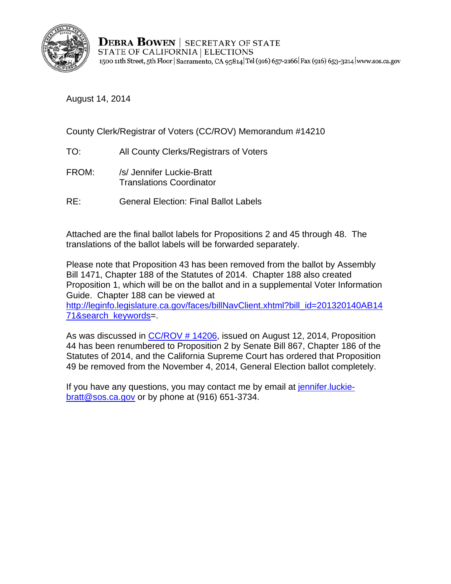

**DEBRA BOWEN** SECRETARY OF STATE STATE OF CALIFORNIA | ELECTIONS 1500 11th Street, 5th Floor | Sacramento, CA 95814 Tel (916) 657-2166 | Fax (916) 653-3214 | www.sos.ca.gov

August 14, 2014

County Clerk/Registrar of Voters (CC/ROV) Memorandum #14210

- TO: All County Clerks/Registrars of Voters
- FROM: /s/ Jennifer Luckie-Bratt Translations Coordinator
- RE: General Election: Final Ballot Labels

Attached are the final ballot labels for Propositions 2 and 45 through 48. The translations of the ballot labels will be forwarded separately.

Please note that Proposition 43 has been removed from the ballot by Assembly Bill 1471, Chapter 188 of the Statutes of 2014. Chapter 188 also created Proposition 1, which will be on the ballot and in a supplemental Voter Information Guide. Chapter 188 can be viewed at

http://leginfo.legislature.ca.gov/faces/billNavClient.xhtml?bill\_id=201320140AB14 [71&search\\_keywords=](http://leginfo.legislature.ca.gov/faces/billNavClient.xhtml?bill_id=201320140AB1471&search_keywords).

As was discussed in [CC/ROV # 14206,](http://elections.cdn.sos.ca.gov/ccrov/pdf/2014/august/14206jl.pdf) issued on August 12, 2014, Proposition 44 has been renumbered to Proposition 2 by Senate Bill 867, Chapter 186 of the Statutes of 2014, and the California Supreme Court has ordered that Proposition 49 be removed from the November 4, 2014, General Election ballot completely.

If you have any questions, you may contact me by email at jennifer.luckiebratt@sos.ca.gov or by phone at (916) 651-3734.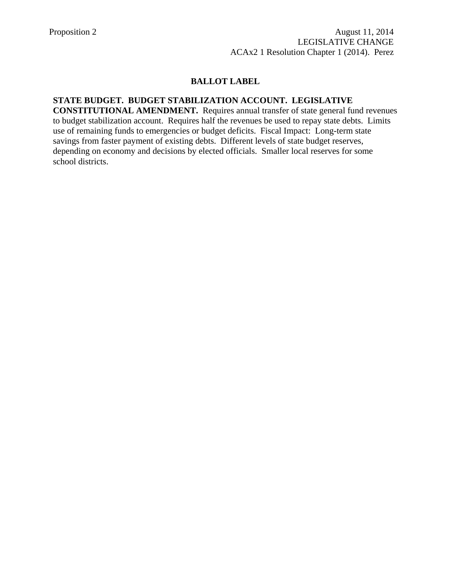#### **STATE BUDGET. BUDGET STABILIZATION ACCOUNT. LEGISLATIVE**

**CONSTITUTIONAL AMENDMENT.** Requires annual transfer of state general fund revenues to budget stabilization account. Requires half the revenues be used to repay state debts. Limits use of remaining funds to emergencies or budget deficits. Fiscal Impact: Long-term state savings from faster payment of existing debts. Different levels of state budget reserves, depending on economy and decisions by elected officials. Smaller local reserves for some school districts.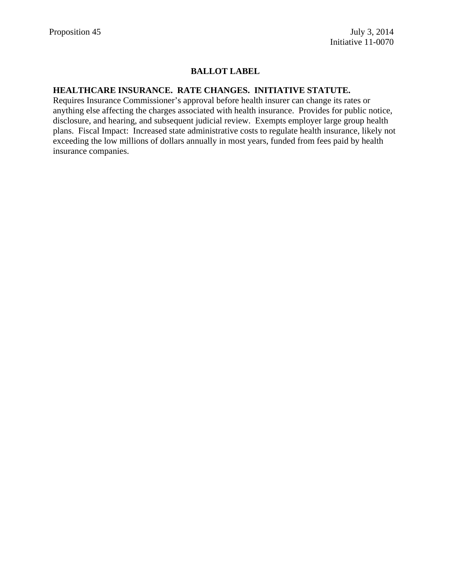#### **HEALTHCARE INSURANCE. RATE CHANGES. INITIATIVE STATUTE.**

Requires Insurance Commissioner's approval before health insurer can change its rates or anything else affecting the charges associated with health insurance. Provides for public notice, disclosure, and hearing, and subsequent judicial review. Exempts employer large group health plans. Fiscal Impact: Increased state administrative costs to regulate health insurance, likely not exceeding the low millions of dollars annually in most years, funded from fees paid by health insurance companies.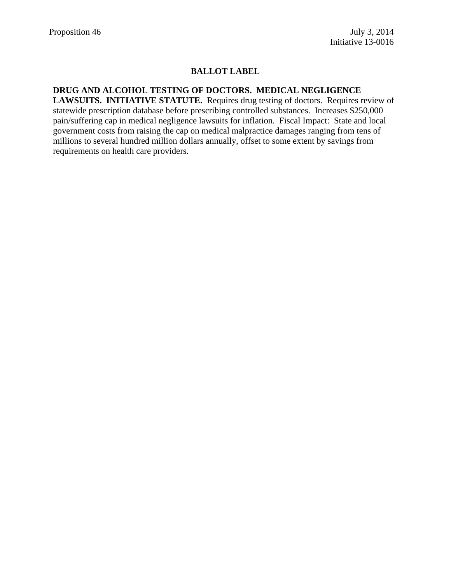## **DRUG AND ALCOHOL TESTING OF DOCTORS. MEDICAL NEGLIGENCE**

**LAWSUITS. INITIATIVE STATUTE.** Requires drug testing of doctors. Requires review of statewide prescription database before prescribing controlled substances. Increases \$250,000 pain/suffering cap in medical negligence lawsuits for inflation. Fiscal Impact: State and local government costs from raising the cap on medical malpractice damages ranging from tens of millions to several hundred million dollars annually, offset to some extent by savings from requirements on health care providers.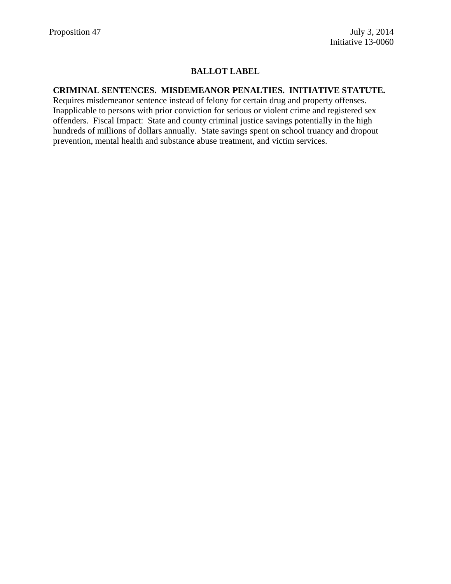#### **CRIMINAL SENTENCES. MISDEMEANOR PENALTIES. INITIATIVE STATUTE.**

Requires misdemeanor sentence instead of felony for certain drug and property offenses. Inapplicable to persons with prior conviction for serious or violent crime and registered sex offenders. Fiscal Impact: State and county criminal justice savings potentially in the high hundreds of millions of dollars annually. State savings spent on school truancy and dropout prevention, mental health and substance abuse treatment, and victim services.